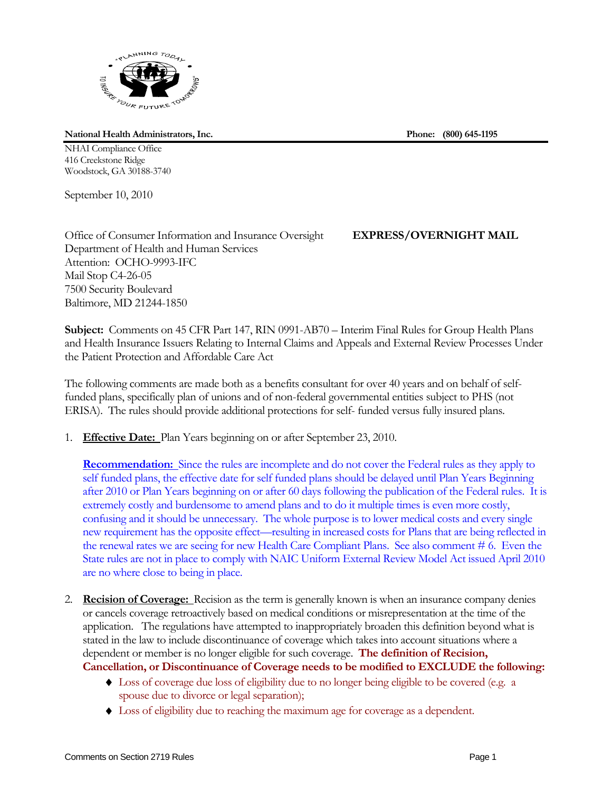

**National Health Administrators, Inc. Phone: (800) 645-1195** 

NHAI Compliance Office 416 Creekstone Ridge Woodstock, GA 30188-3740

September 10, 2010

Office of Consumer Information and Insurance Oversight **EXPRESS/OVERNIGHT MAIL** Department of Health and Human Services Attention: OCHO-9993-IFC Mail Stop C4-26-05 7500 Security Boulevard Baltimore, MD 21244-1850

**Subject:** Comments on 45 CFR Part 147, RIN 0991-AB70 – Interim Final Rules for Group Health Plans and Health Insurance Issuers Relating to Internal Claims and Appeals and External Review Processes Under the Patient Protection and Affordable Care Act

The following comments are made both as a benefits consultant for over 40 years and on behalf of selffunded plans, specifically plan of unions and of non-federal governmental entities subject to PHS (not ERISA). The rules should provide additional protections for self- funded versus fully insured plans.

1. **Effective Date:** Plan Years beginning on or after September 23, 2010.

**Recommendation:** Since the rules are incomplete and do not cover the Federal rules as they apply to self funded plans, the effective date for self funded plans should be delayed until Plan Years Beginning after 2010 or Plan Years beginning on or after 60 days following the publication of the Federal rules. It is extremely costly and burdensome to amend plans and to do it multiple times is even more costly, confusing and it should be unnecessary. The whole purpose is to lower medical costs and every single new requirement has the opposite effect—resulting in increased costs for Plans that are being reflected in the renewal rates we are seeing for new Health Care Compliant Plans. See also comment # 6. Even the State rules are not in place to comply with NAIC Uniform External Review Model Act issued April 2010 are no where close to being in place.

- 2. **Recision of Coverage:** Recision as the term is generally known is when an insurance company denies or cancels coverage retroactively based on medical conditions or misrepresentation at the time of the application. The regulations have attempted to inappropriately broaden this definition beyond what is stated in the law to include discontinuance of coverage which takes into account situations where a dependent or member is no longer eligible for such coverage. **The definition of Recision, Cancellation, or Discontinuance of Coverage needs to be modified to EXCLUDE the following:** 
	- Loss of coverage due loss of eligibility due to no longer being eligible to be covered (e.g. a spouse due to divorce or legal separation);
	- Loss of eligibility due to reaching the maximum age for coverage as a dependent.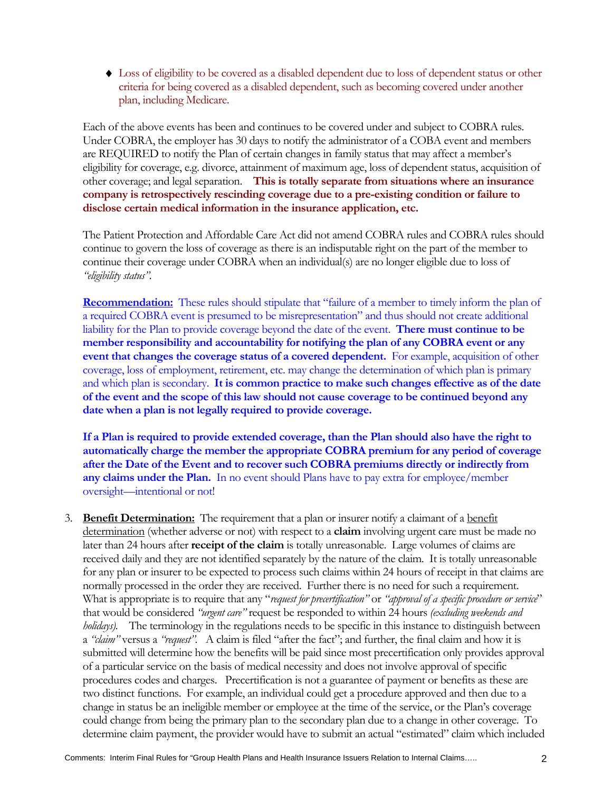Loss of eligibility to be covered as a disabled dependent due to loss of dependent status or other criteria for being covered as a disabled dependent, such as becoming covered under another plan, including Medicare.

Each of the above events has been and continues to be covered under and subject to COBRA rules. Under COBRA, the employer has 30 days to notify the administrator of a COBA event and members are REQUIRED to notify the Plan of certain changes in family status that may affect a member's eligibility for coverage, e.g. divorce, attainment of maximum age, loss of dependent status, acquisition of other coverage; and legal separation. **This is totally separate from situations where an insurance company is retrospectively rescinding coverage due to a pre-existing condition or failure to disclose certain medical information in the insurance application, etc.** 

The Patient Protection and Affordable Care Act did not amend COBRA rules and COBRA rules should continue to govern the loss of coverage as there is an indisputable right on the part of the member to continue their coverage under COBRA when an individual(s) are no longer eligible due to loss of *"eligibility status".* 

**Recommendation:** These rules should stipulate that "failure of a member to timely inform the plan of a required COBRA event is presumed to be misrepresentation" and thus should not create additional liability for the Plan to provide coverage beyond the date of the event. **There must continue to be member responsibility and accountability for notifying the plan of any COBRA event or any event that changes the coverage status of a covered dependent.** For example, acquisition of other coverage, loss of employment, retirement, etc. may change the determination of which plan is primary and which plan is secondary. **It is common practice to make such changes effective as of the date of the event and the scope of this law should not cause coverage to be continued beyond any date when a plan is not legally required to provide coverage.**

**If a Plan is required to provide extended coverage, than the Plan should also have the right to automatically charge the member the appropriate COBRA premium for any period of coverage after the Date of the Event and to recover such COBRA premiums directly or indirectly from any claims under the Plan.** In no event should Plans have to pay extra for employee/member oversight—intentional or not!

3. **Benefit Determination:** The requirement that a plan or insurer notify a claimant of a benefit determination (whether adverse or not) with respect to a **claim** involving urgent care must be made no later than 24 hours after **receipt of the claim** is totally unreasonable. Large volumes of claims are received daily and they are not identified separately by the nature of the claim. It is totally unreasonable for any plan or insurer to be expected to process such claims within 24 hours of receipt in that claims are normally processed in the order they are received. Further there is no need for such a requirement. What is appropriate is to require that any "*request for precertification"* or *"approval of a specific procedure or service*" that would be considered *"urgent care"* request be responded to within 24 hours *(excluding weekends and holidays).* The terminology in the regulations needs to be specific in this instance to distinguish between a *"claim"* versus a *"request".* A claim is filed "after the fact"; and further, the final claim and how it is submitted will determine how the benefits will be paid since most precertification only provides approval of a particular service on the basis of medical necessity and does not involve approval of specific procedures codes and charges. Precertification is not a guarantee of payment or benefits as these are two distinct functions. For example, an individual could get a procedure approved and then due to a change in status be an ineligible member or employee at the time of the service, or the Plan's coverage could change from being the primary plan to the secondary plan due to a change in other coverage. To determine claim payment, the provider would have to submit an actual "estimated" claim which included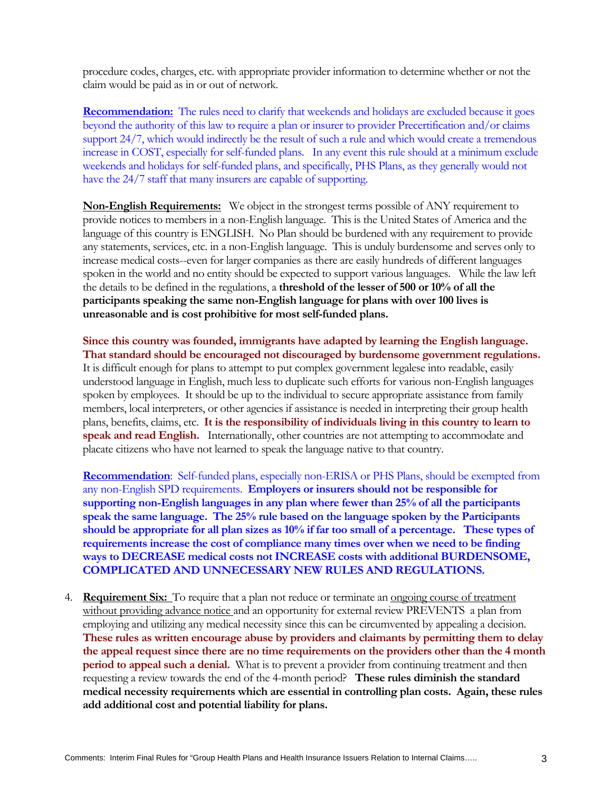procedure codes, charges, etc. with appropriate provider information to determine whether or not the claim would be paid as in or out of network.

**Recommendation:** The rules need to clarify that weekends and holidays are excluded because it goes beyond the authority of this law to require a plan or insurer to provider Precertification and/or claims support 24/7, which would indirectly be the result of such a rule and which would create a tremendous increase in COST, especially for self-funded plans. In any event this rule should at a minimum exclude weekends and holidays for self-funded plans, and specifically, PHS Plans, as they generally would not have the 24/7 staff that many insurers are capable of supporting.

**Non-English Requirements:** We object in the strongest terms possible of ANY requirement to provide notices to members in a non-English language. This is the United States of America and the language of this country is ENGLISH. No Plan should be burdened with any requirement to provide any statements, services, etc. in a non-English language. This is unduly burdensome and serves only to increase medical costs--even for larger companies as there are easily hundreds of different languages spoken in the world and no entity should be expected to support various languages. While the law left the details to be defined in the regulations, a **threshold of the lesser of 500 or 10% of all the participants speaking the same non-English language for plans with over 100 lives is unreasonable and is cost prohibitive for most self-funded plans.**

**Since this country was founded, immigrants have adapted by learning the English language. That standard should be encouraged not discouraged by burdensome government regulations.**  It is difficult enough for plans to attempt to put complex government legalese into readable, easily understood language in English, much less to duplicate such efforts for various non-English languages spoken by employees. It should be up to the individual to secure appropriate assistance from family members, local interpreters, or other agencies if assistance is needed in interpreting their group health plans, benefits, claims, etc. **It is the responsibility of individuals living in this country to learn to speak and read English.** Internationally, other countries are not attempting to accommodate and placate citizens who have not learned to speak the language native to that country.

**Recommendation**: Self-funded plans, especially non-ERISA or PHS Plans, should be exempted from any non-English SPD requirements. **Employers or insurers should not be responsible for supporting non-English languages in any plan where fewer than 25% of all the participants speak the same language. The 25% rule based on the language spoken by the Participants should be appropriate for all plan sizes as 10% if far too small of a percentage. These types of requirements increase the cost of compliance many times over when we need to be finding ways to DECREASE medical costs not INCREASE costs with additional BURDENSOME, COMPLICATED AND UNNECESSARY NEW RULES AND REGULATIONS.** 

4. **Requirement Six:** To require that a plan not reduce or terminate an ongoing course of treatment without providing advance notice and an opportunity for external review PREVENTS a plan from employing and utilizing any medical necessity since this can be circumvented by appealing a decision. **These rules as written encourage abuse by providers and claimants by permitting them to delay the appeal request since there are no time requirements on the providers other than the 4 month period to appeal such a denial.** What is to prevent a provider from continuing treatment and then requesting a review towards the end of the 4-month period? **These rules diminish the standard medical necessity requirements which are essential in controlling plan costs. Again, these rules add additional cost and potential liability for plans.**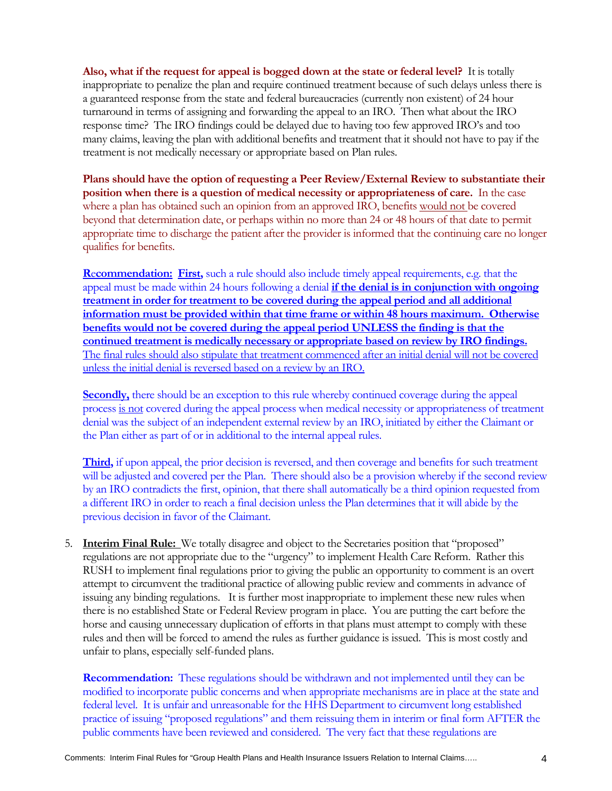**Also, what if the request for appeal is bogged down at the state or federal level?** It is totally inappropriate to penalize the plan and require continued treatment because of such delays unless there is a guaranteed response from the state and federal bureaucracies (currently non existent) of 24 hour turnaround in terms of assigning and forwarding the appeal to an IRO. Then what about the IRO response time? The IRO findings could be delayed due to having too few approved IRO's and too many claims, leaving the plan with additional benefits and treatment that it should not have to pay if the treatment is not medically necessary or appropriate based on Plan rules.

**Plans should have the option of requesting a Peer Review/External Review to substantiate their position when there is a question of medical necessity or appropriateness of care.** In the case where a plan has obtained such an opinion from an approved IRO, benefits would not be covered beyond that determination date, or perhaps within no more than 24 or 48 hours of that date to permit appropriate time to discharge the patient after the provider is informed that the continuing care no longer qualifies for benefits.

**R**e**commendation: First,** such a rule should also include timely appeal requirements, e.g. that the appeal must be made within 24 hours following a denial **if the denial is in conjunction with ongoing treatment in order for treatment to be covered during the appeal period and all additional information must be provided within that time frame or within 48 hours maximum. Otherwise benefits would not be covered during the appeal period UNLESS the finding is that the continued treatment is medically necessary or appropriate based on review by IRO findings.**  The final rules should also stipulate that treatment commenced after an initial denial will not be covered unless the initial denial is reversed based on a review by an IRO.

**Secondly,** there should be an exception to this rule whereby continued coverage during the appeal process is not covered during the appeal process when medical necessity or appropriateness of treatment denial was the subject of an independent external review by an IRO, initiated by either the Claimant or the Plan either as part of or in additional to the internal appeal rules.

**Third,** if upon appeal, the prior decision is reversed, and then coverage and benefits for such treatment will be adjusted and covered per the Plan. There should also be a provision whereby if the second review by an IRO contradicts the first, opinion, that there shall automatically be a third opinion requested from a different IRO in order to reach a final decision unless the Plan determines that it will abide by the previous decision in favor of the Claimant.

5. **Interim Final Rule:** We totally disagree and object to the Secretaries position that "proposed" regulations are not appropriate due to the "urgency" to implement Health Care Reform. Rather this RUSH to implement final regulations prior to giving the public an opportunity to comment is an overt attempt to circumvent the traditional practice of allowing public review and comments in advance of issuing any binding regulations. It is further most inappropriate to implement these new rules when there is no established State or Federal Review program in place. You are putting the cart before the horse and causing unnecessary duplication of efforts in that plans must attempt to comply with these rules and then will be forced to amend the rules as further guidance is issued. This is most costly and unfair to plans, especially self-funded plans.

**Recommendation:** These regulations should be withdrawn and not implemented until they can be modified to incorporate public concerns and when appropriate mechanisms are in place at the state and federal level. It is unfair and unreasonable for the HHS Department to circumvent long established practice of issuing "proposed regulations" and them reissuing them in interim or final form AFTER the public comments have been reviewed and considered. The very fact that these regulations are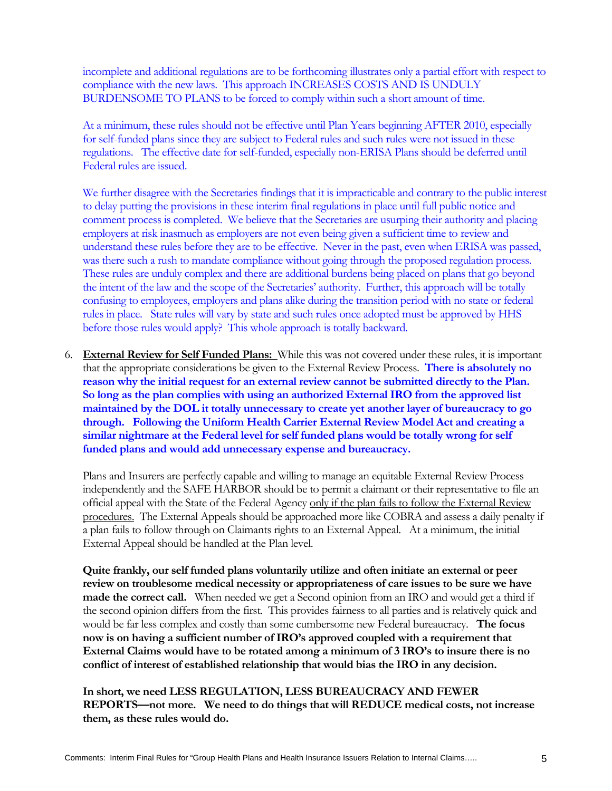incomplete and additional regulations are to be forthcoming illustrates only a partial effort with respect to compliance with the new laws. This approach INCREASES COSTS AND IS UNDULY BURDENSOME TO PLANS to be forced to comply within such a short amount of time.

At a minimum, these rules should not be effective until Plan Years beginning AFTER 2010, especially for self-funded plans since they are subject to Federal rules and such rules were not issued in these regulations. The effective date for self-funded, especially non-ERISA Plans should be deferred until Federal rules are issued.

We further disagree with the Secretaries findings that it is impracticable and contrary to the public interest to delay putting the provisions in these interim final regulations in place until full public notice and comment process is completed. We believe that the Secretaries are usurping their authority and placing employers at risk inasmuch as employers are not even being given a sufficient time to review and understand these rules before they are to be effective. Never in the past, even when ERISA was passed, was there such a rush to mandate compliance without going through the proposed regulation process. These rules are unduly complex and there are additional burdens being placed on plans that go beyond the intent of the law and the scope of the Secretaries' authority. Further, this approach will be totally confusing to employees, employers and plans alike during the transition period with no state or federal rules in place. State rules will vary by state and such rules once adopted must be approved by HHS before those rules would apply? This whole approach is totally backward.

6. **External Review for Self Funded Plans:** While this was not covered under these rules, it is important that the appropriate considerations be given to the External Review Process. **There is absolutely no reason why the initial request for an external review cannot be submitted directly to the Plan. So long as the plan complies with using an authorized External IRO from the approved list maintained by the DOL it totally unnecessary to create yet another layer of bureaucracy to go through. Following the Uniform Health Carrier External Review Model Act and creating a similar nightmare at the Federal level for self funded plans would be totally wrong for self funded plans and would add unnecessary expense and bureaucracy.** 

Plans and Insurers are perfectly capable and willing to manage an equitable External Review Process independently and the SAFE HARBOR should be to permit a claimant or their representative to file an official appeal with the State of the Federal Agency only if the plan fails to follow the External Review procedures. The External Appeals should be approached more like COBRA and assess a daily penalty if a plan fails to follow through on Claimants rights to an External Appeal. At a minimum, the initial External Appeal should be handled at the Plan level.

**Quite frankly, our self funded plans voluntarily utilize and often initiate an external or peer review on troublesome medical necessity or appropriateness of care issues to be sure we have made the correct call.** When needed we get a Second opinion from an IRO and would get a third if the second opinion differs from the first. This provides fairness to all parties and is relatively quick and would be far less complex and costly than some cumbersome new Federal bureaucracy. **The focus now is on having a sufficient number of IRO's approved coupled with a requirement that External Claims would have to be rotated among a minimum of 3 IRO's to insure there is no conflict of interest of established relationship that would bias the IRO in any decision.** 

**In short, we need LESS REGULATION, LESS BUREAUCRACY AND FEWER REPORTS—not more. We need to do things that will REDUCE medical costs, not increase them, as these rules would do.**